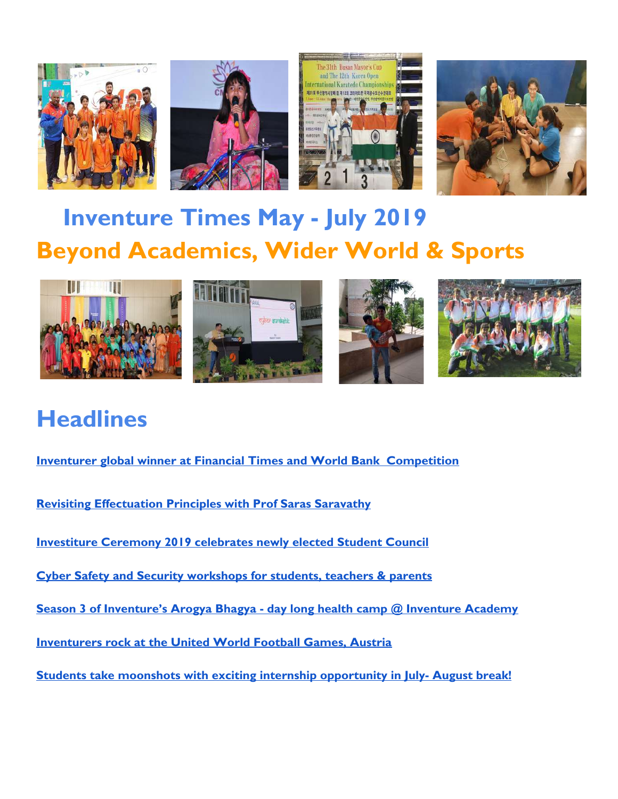



# **Inventure Times May - July 2019 Beyond Academics, Wider World & Sports**



# **Headlines**

<span id="page-0-0"></span>**[Inventurer global winner at Financial Times and World Bank Competition](#page-1-0)**

**[Revisiting Effectuation Principles with Prof Saras Saravathy](#page-0-0)**

**[Investiture Ceremony 2019 celebrates newly elected Student Council](#page-4-0)**

**[Cyber Safety and Security workshops for students, teachers & parents](#page-5-0)**

**[Season 3 of Inventure's Arogya Bhagya - day long health camp @ Inventure Academy](#page-9-0)**

**[Inventurers rock at the United World Football Games, Austria](#page-2-0)**

**[Students take moonshots with exciting internship opportunity in July- August break!](#page-8-0)**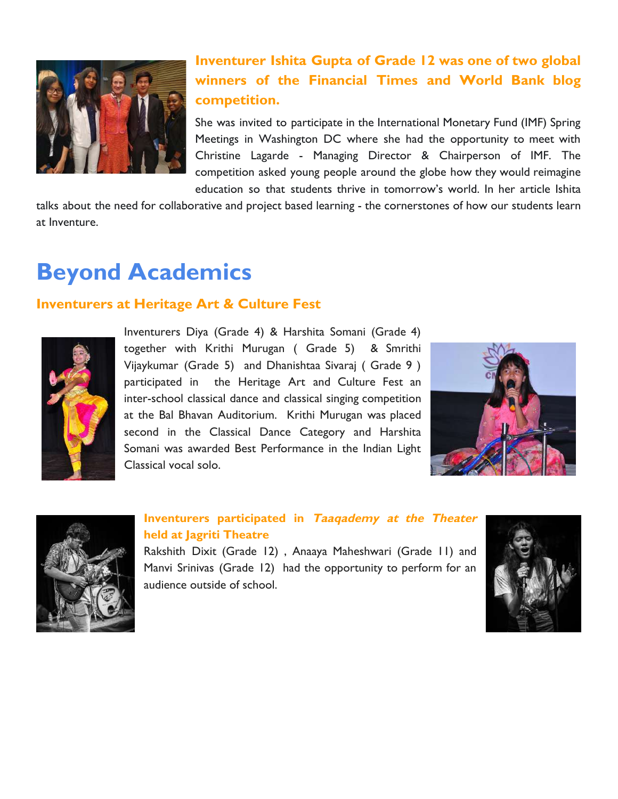<span id="page-1-0"></span>![](_page_1_Picture_0.jpeg)

## **Inventurer Ishita Gupta of Grade 12 was one of two global winners of the Financial Times and World Bank blog competition.**

She was invited to participate in the International Monetary Fund (IMF) Spring Meetings in Washington DC where she had the opportunity to meet with Christine Lagarde - Managing Director & Chairperson of IMF. The competition asked young people around the globe how they would reimagine education so that students thrive in tomorrow's world. In her article Ishita

talks about the need for collaborative and project based learning - the cornerstones of how our students learn at Inventure.

# **Beyond Academics**

### **Inventurers at Heritage Art & Culture Fest**

![](_page_1_Picture_6.jpeg)

Inventurers Diya (Grade 4) & Harshita Somani (Grade 4) together with Krithi Murugan ( Grade 5) & Smrithi Vijaykumar (Grade 5) and Dhanishtaa Sivaraj ( Grade 9 ) participated in the Heritage Art and Culture Fest an inter-school classical dance and classical singing competition at the Bal Bhavan Auditorium. Krithi Murugan was placed second in the Classical Dance Category and Harshita Somani was awarded Best Performance in the Indian Light Classical vocal solo.

![](_page_1_Picture_8.jpeg)

![](_page_1_Picture_9.jpeg)

#### **Inventurers participated in Taaqademy at the Theater held at Jagriti Theatre**

Rakshith Dixit (Grade 12) , Anaaya Maheshwari (Grade 11) and Manvi Srinivas (Grade 12) had the opportunity to perform for an audience outside of school.

![](_page_1_Picture_12.jpeg)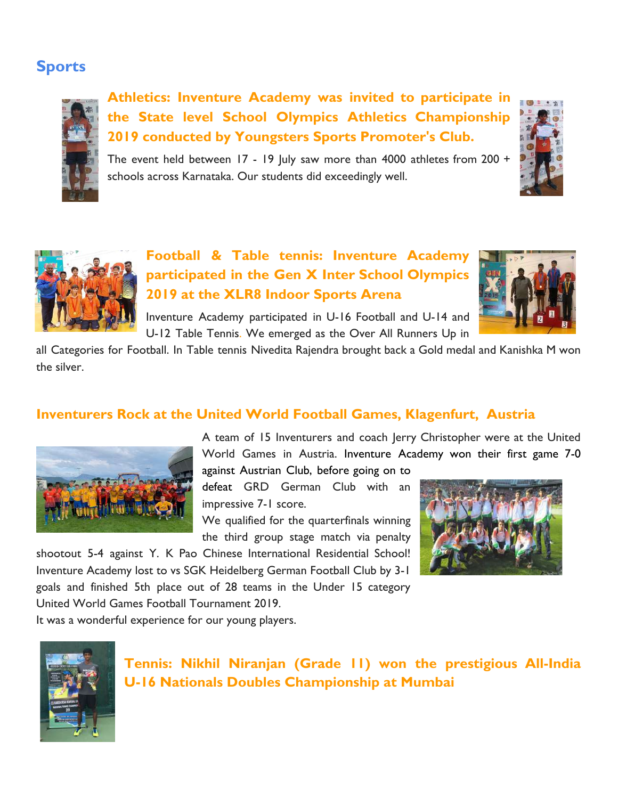## **Sports**

![](_page_2_Picture_1.jpeg)

**Athletics: Inventure Academy was invited to participate in the State level School Olympics Athletics Championship 2019 conducted by Youngsters Sports Promoter's Club.**

The event held between 17 - 19 July saw more than 4000 athletes from 200 + schools across Karnataka. Our students did exceedingly well.

![](_page_2_Picture_4.jpeg)

## **Football & Table tennis: Inventure Academy participated in the Gen X Inter School Olympics 2019 at the XLR8 Indoor Sports Arena**

![](_page_2_Picture_6.jpeg)

Inventure Academy participated in U-16 Football and U-14 and U-12 Table Tennis. We emerged as the Over All Runners Up in

all Categories for Football. In Table tennis Nivedita Rajendra brought back a Gold medal and Kanishka M won the silver.

### <span id="page-2-0"></span>**Inventurers Rock at the United World Football Games, Klagenfurt, Austria**

![](_page_2_Picture_10.jpeg)

A team of 15 Inventurers and coach Jerry Christopher were at the United World Games in Austria. Inventure Academy won their first game 7-0

against Austrian Club, before going on to defeat GRD German Club with an impressive 7-1 score.

We qualified for the quarterfinals winning the third group stage match via penalty

shootout 5-4 against Y. K Pao Chinese International Residential School! Inventure Academy lost to vs SGK Heidelberg German Football Club by 3-1 goals and finished 5th place out of 28 teams in the Under 15 category United World Games Football Tournament 2019.

![](_page_2_Picture_15.jpeg)

It was a wonderful experience for our young players.

![](_page_2_Picture_17.jpeg)

**Tennis: Nikhil Niranjan (Grade 11) won the prestigious All-India U-16 Nationals Doubles Championship at Mumbai**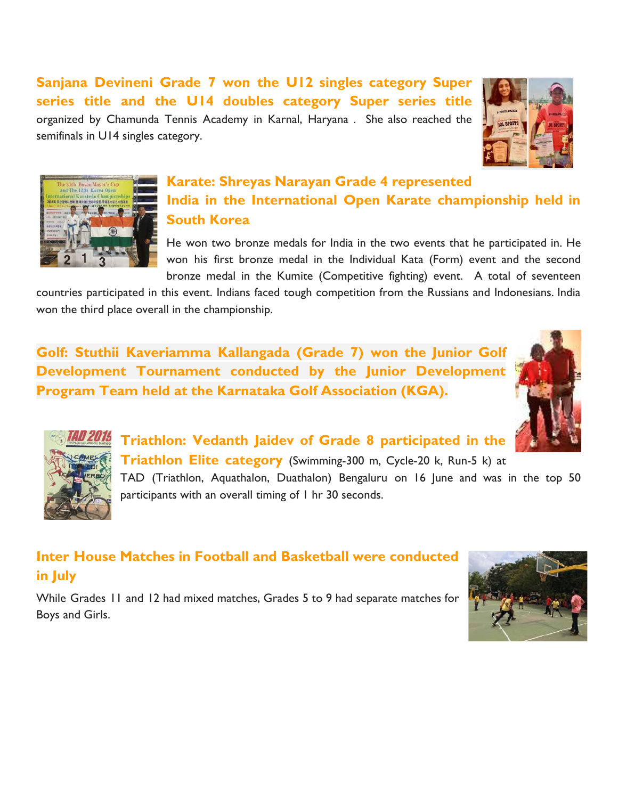**Sanjana Devineni Grade 7 won the U12 singles category Super series title and the U14 doubles category Super series title** organized by Chamunda Tennis Academy in Karnal, Haryana . She also reached the semifinals in U14 singles category.

![](_page_3_Picture_1.jpeg)

![](_page_3_Picture_2.jpeg)

## **Karate: Shreyas Narayan Grade 4 represented India in the International Open Karate championship held in South Korea**

He won two bronze medals for India in the two events that he participated in. He won his first bronze medal in the Individual Kata (Form) event and the second bronze medal in the Kumite (Competitive fighting) event. A total of seventeen

countries participated in this event. Indians faced tough competition from the Russians and Indonesians. India won the third place overall in the championship.

**Golf: Stuthii Kaveriamma Kallangada (Grade 7) won the Junior Golf Development Tournament conducted by the Junior Development Program Team held at the Karnataka Golf Association (KGA).**

![](_page_3_Picture_7.jpeg)

![](_page_3_Picture_8.jpeg)

**Triathlon: Vedanth Jaidev of Grade 8 participated in the Triathlon Elite category** (Swimming-300 m, Cycle-20 k, Run-5 k) at TAD (Triathlon, Aquathalon, Duathalon) Bengaluru on 16 June and was in the top 50 participants with an overall timing of 1 hr 30 seconds.

## **Inter House Matches in Football and Basketball were conducted in July**

While Grades 11 and 12 had mixed matches, Grades 5 to 9 had separate matches for Boys and Girls.

![](_page_3_Picture_12.jpeg)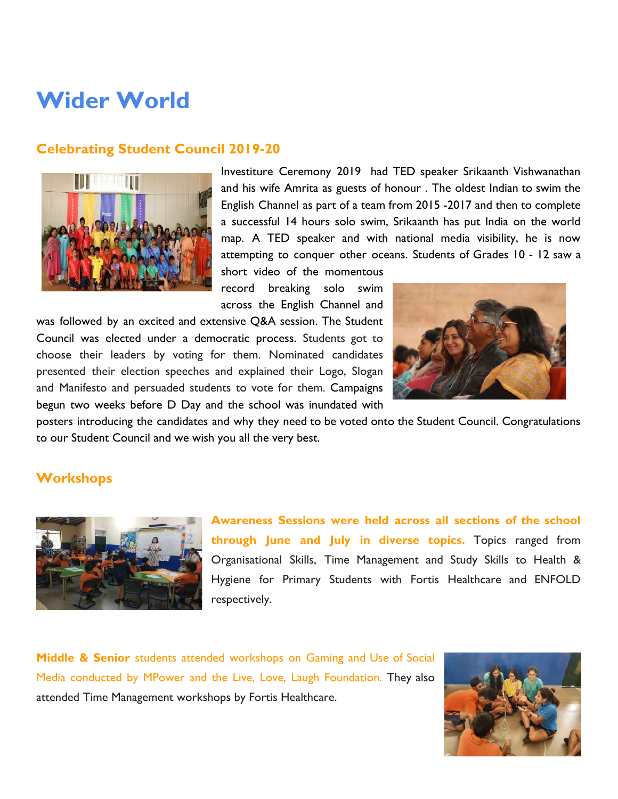# **Wider World**

#### <span id="page-4-0"></span>**Celebrating Student Council 2019-20**

![](_page_4_Picture_2.jpeg)

Investiture Ceremony 2019 had TED speaker Srikaanth Vishwanathan and his wife Amrita as guests of honour . The oldest Indian to swim the English Channel as part of a team from 2015 -2017 and then to complete a successful 14 hours solo swim, Srikaanth has put India on the world map. A TED speaker and with national media visibility, he is now attempting to conquer other oceans. Students of Grades 10 - 12 saw a short video of the momentous

record breaking solo swim across the English Channel and

was followed by an excited and extensive Q&A session. The Student Council was elected under a democratic process. Students got to choose their leaders by voting for them. Nominated candidates presented their election speeches and explained their Logo, Slogan and Manifesto and persuaded students to vote for them. Campaigns begun two weeks before D Day and the school was inundated with

![](_page_4_Picture_6.jpeg)

posters introducing the candidates and why they need to be voted onto the Student Council. Congratulations to our Student Council and we wish you all the very best.

#### **Workshops**

![](_page_4_Picture_9.jpeg)

**Awareness Sessions were held across all sections of the school through June and July in diverse topics.** Topics ranged from Organisational Skills, Time Management and Study Skills to Health & Hygiene for Primary Students with Fortis Healthcare and ENFOLD respectively.

**Middle & Senior** students attended workshops on Gaming and Use of Social Media conducted by MPower and the Live, Love, Laugh Foundation. They also attended Time Management workshops by Fortis Healthcare.

![](_page_4_Picture_12.jpeg)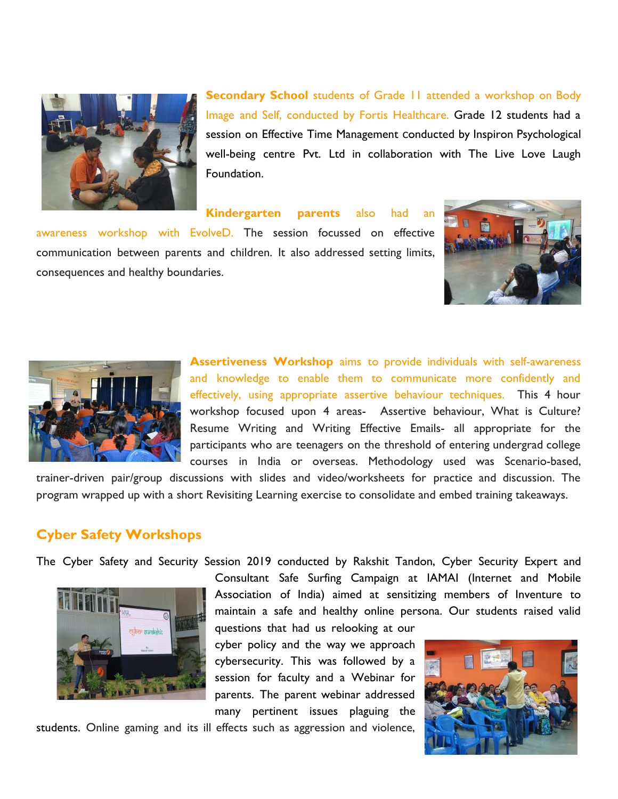![](_page_5_Picture_0.jpeg)

**Secondary School** students of Grade 11 attended a workshop on Body Image and Self, conducted by Fortis Healthcare. Grade 12 students had a session on Effective Time Management conducted by Inspiron Psychological well-being centre Pvt. Ltd in collaboration with The Live Love Laugh Foundation.

**Kindergarten parents** also had an

awareness workshop with EvolveD. The session focussed on effective communication between parents and children. It also addressed setting limits, consequences and healthy boundaries.

![](_page_5_Picture_4.jpeg)

![](_page_5_Picture_5.jpeg)

**Assertiveness Workshop** aims to provide individuals with self-awareness and knowledge to enable them to communicate more confidently and effectively, using appropriate assertive behaviour techniques. This 4 hour workshop focused upon 4 areas- Assertive behaviour, What is Culture? Resume Writing and Writing Effective Emails- all appropriate for the participants who are teenagers on the threshold of entering undergrad college courses in India or overseas. Methodology used was Scenario-based,

trainer-driven pair/group discussions with slides and video/worksheets for practice and discussion. The program wrapped up with a short Revisiting Learning exercise to consolidate and embed training takeaways.

### <span id="page-5-0"></span>**Cyber Safety Workshops**

The Cyber Safety and Security Session 2019 conducted by Rakshit Tandon, Cyber Security Expert and

![](_page_5_Picture_10.jpeg)

Consultant Safe Surfing Campaign at IAMAI (Internet and Mobile Association of India) aimed at sensitizing members of Inventure to maintain a safe and healthy online persona. Our students raised valid

questions that had us relooking at our cyber policy and the way we approach cybersecurity. This was followed by a session for faculty and a Webinar for parents. The parent webinar addressed many pertinent issues plaguing the

students. Online gaming and its ill effects such as aggression and violence,

![](_page_5_Picture_14.jpeg)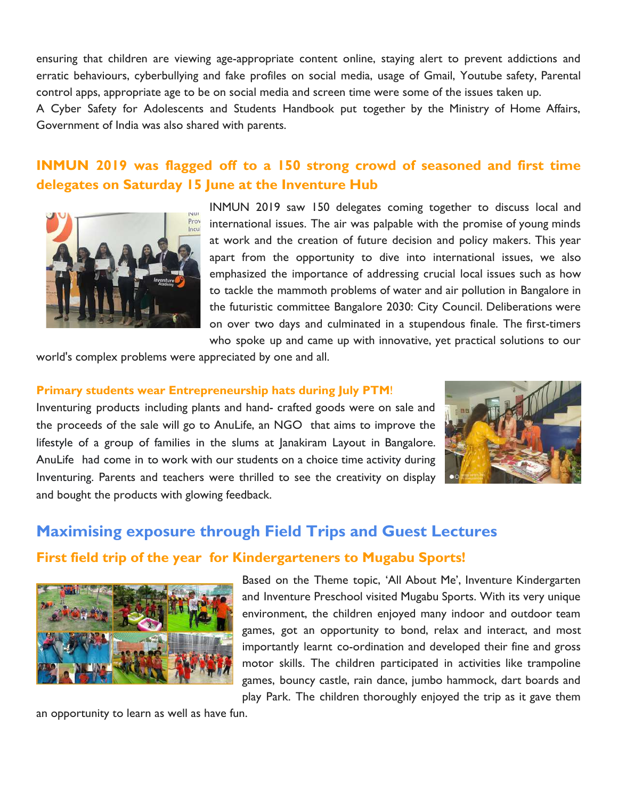ensuring that children are viewing age-appropriate content online, staying alert to prevent addictions and erratic behaviours, cyberbullying and fake profiles on social media, usage of Gmail, Youtube safety, Parental control apps, appropriate age to be on social media and screen time were some of the issues taken up.

A Cyber Safety for Adolescents and Students Handbook put together by the Ministry of Home Affairs, Government of India was also shared with parents.

### **INMUN 2019 was flagged off to a 150 strong crowd of seasoned and first time delegates on Saturday 15 June at the Inventure Hub**

![](_page_6_Picture_3.jpeg)

INMUN 2019 saw 150 delegates coming together to discuss local and international issues. The air was palpable with the promise of young minds at work and the creation of future decision and policy makers. This year apart from the opportunity to dive into international issues, we also emphasized the importance of addressing crucial local issues such as how to tackle the mammoth problems of water and air pollution in Bangalore in the futuristic committee Bangalore 2030: City Council. Deliberations were on over two days and culminated in a stupendous finale. The first-timers who spoke up and came up with innovative, yet practical solutions to our

world's complex problems were appreciated by one and all.

#### **Primary students wear Entrepreneurship hats during July PTM**!

Inventuring products including plants and hand- crafted goods were on sale and the proceeds of the sale will go to AnuLife, an NGO that aims to improve the lifestyle of a group of families in the slums at Janakiram Layout in Bangalore. AnuLife had come in to work with our students on a choice time activity during Inventuring. Parents and teachers were thrilled to see the creativity on display and bought the products with glowing feedback.

![](_page_6_Picture_8.jpeg)

## **Maximising exposure through Field Trips and Guest Lectures First field trip of the year for Kindergarteners to Mugabu Sports!**

![](_page_6_Picture_10.jpeg)

Based on the Theme topic, 'All About Me', Inventure Kindergarten and Inventure Preschool visited Mugabu Sports. With its very unique environment, the children enjoyed many indoor and outdoor team games, got an opportunity to bond, relax and interact, and most importantly learnt co-ordination and developed their fine and gross motor skills. The children participated in activities like trampoline games, bouncy castle, rain dance, jumbo hammock, dart boards and play Park. The children thoroughly enjoyed the trip as it gave them

an opportunity to learn as well as have fun.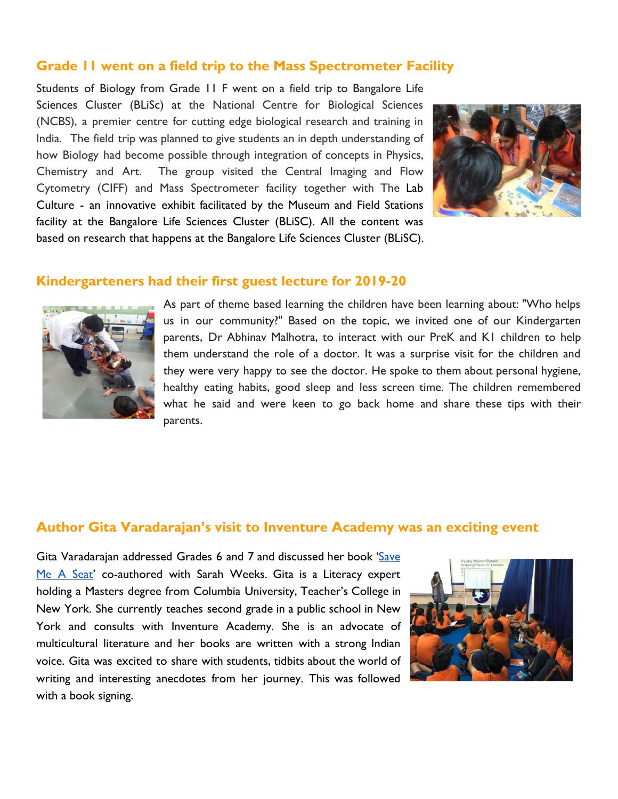#### **Grade 11 went on a field trip to the Mass Spectrometer Facility**

Students of Biology from Grade 11 F went on a field trip to Bangalore Life Sciences Cluster (BLiSc) at the National Centre for Biological Sciences (NCBS), a premier centre for cutting edge biological research and training in India. The field trip was planned to give students an in depth understanding of how Biology had become possible through integration of concepts in Physics, Chemistry and Art. The group visited the Central Imaging and Flow Cytometry (CIFF) and Mass Spectrometer facility together with The Lab Culture - an innovative exhibit facilitated by the Museum and Field Stations facility at the Bangalore Life Sciences Cluster (BLiSC). All the content was based on research that happens at the Bangalore Life Sciences Cluster (BLiSC).

![](_page_7_Picture_2.jpeg)

#### **Kindergarteners had their first guest lecture for 2019-20**

![](_page_7_Picture_4.jpeg)

As part of theme based learning the children have been learning about: "Who helps us in our community?" Based on the topic, we invited one of our Kindergarten parents, Dr Abhinav Malhotra, to interact with our PreK and K1 children to help them understand the role of a doctor. It was a surprise visit for the children and they were very happy to see the doctor. He spoke to them about personal hygiene, healthy eating habits, good sleep and less screen time. The children remembered what he said and were keen to go back home and share these tips with their parents.

#### **Author Gita Varadarajan's visit to Inventure Academy was an exciting event**

Gita Varadarajan addressed Grades 6 and 7 and discussed her book ['Save](https://www.amazon.com/Save-Me-Seat-Sarah-Weeks/dp/0545846609) Me A [Seat](https://www.amazon.com/Save-Me-Seat-Sarah-Weeks/dp/0545846609)' co-authored with Sarah Weeks. Gita is a Literacy expert holding a Masters degree from Columbia University, Teacher's College in New York. She currently teaches second grade in a public school in New York and consults with Inventure Academy. She is an advocate of multicultural literature and her books are written with a strong Indian voice. Gita was excited to share with students, tidbits about the world of writing and interesting anecdotes from her journey. This was followed with a book signing.

![](_page_7_Picture_8.jpeg)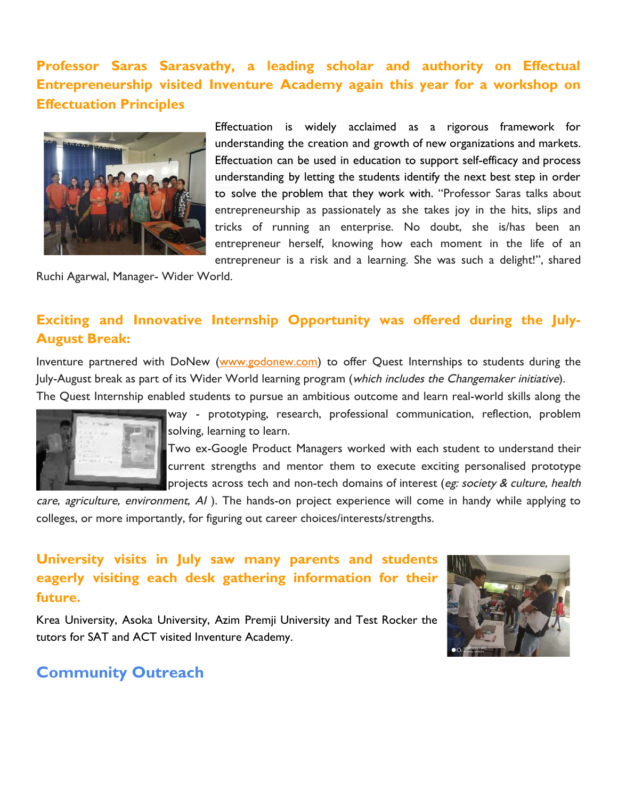## **Professor Saras Sarasvathy, a leading scholar and authority on Effectual Entrepreneurship visited Inventure Academy again this year for a workshop on Effectuation Principles**

![](_page_8_Picture_1.jpeg)

Effectuation is widely acclaimed as a rigorous framework for understanding the creation and growth of new organizations and markets. Effectuation can be used in education to support self-efficacy and process understanding by letting the students identify the next best step in order to solve the problem that they work with. "Professor Saras talks about entrepreneurship as passionately as she takes joy in the hits, slips and tricks of running an enterprise. No doubt, she is/has been an entrepreneur herself, knowing how each moment in the life of an entrepreneur is a risk and a learning. She was such a delight!", shared

Ruchi Agarwal, Manager- Wider World.

### <span id="page-8-0"></span>**Exciting and Innovative Internship Opportunity was offered during the July-August Break:**

Inventure partnered with DoNew ([www.godonew.com\)](https://inventureacademy.us15.list-manage.com/track/click?u=fe497ccaf12c9507b5079b557&id=ebef3e1e25&e=cace2aca62) to offer Quest Internships to students during the July-August break as part of its Wider World learning program (which includes the Changemaker initiative). The Quest Internship enabled students to pursue an ambitious outcome and learn real-world skills along the

![](_page_8_Picture_6.jpeg)

way - prototyping, research, professional communication, reflection, problem solving, learning to learn.

Two ex-Google Product Managers worked with each student to understand their current strengths and mentor them to execute exciting personalised prototype projects across tech and non-tech domains of interest (eg: society & culture, health

care, agriculture, environment, AI). The hands-on project experience will come in handy while applying to colleges, or more importantly, for figuring out career choices/interests/strengths.

## **University visits in July saw many parents and students eagerly visiting each desk gathering information for their future.**

Krea University, Asoka University, Azim Premji University and Test Rocker the tutors for SAT and ACT visited Inventure Academy.

![](_page_8_Picture_12.jpeg)

### **Community Outreach**